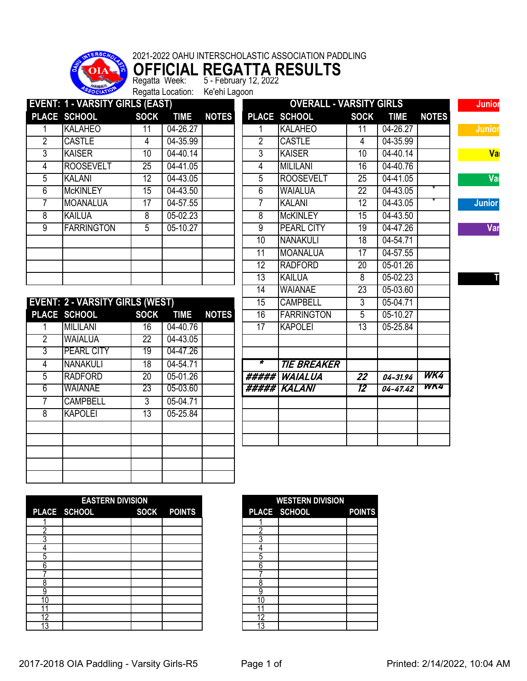

**OFFICIAL REGATTA RESULTS** Regatta Week: 5 - February 12, 2022

Regatta Location: Ke'ehi Lagoon

|                | <b>EVENT: 1 - VARSITY GIRLS (EAST)</b> |                 |             |              |                 | <b>OVERALL - VARSITY GIRLS</b> |                 |              |              |
|----------------|----------------------------------------|-----------------|-------------|--------------|-----------------|--------------------------------|-----------------|--------------|--------------|
|                | PLACE SCHOOL                           | <b>SOCK</b>     | <b>TIME</b> | <b>NOTES</b> |                 | PLACE SCHOOL                   | <b>SOCK</b>     | <b>TIME</b>  | <b>NOTES</b> |
| 1              | <b>KALAHEO</b>                         | 11              | 04-26.27    |              | 1               | <b>KALAHEO</b>                 | 11              | 04-26.27     |              |
| $\overline{2}$ | <b>CASTLE</b>                          | $\overline{4}$  | 04-35.99    |              | $\overline{2}$  | <b>CASTLE</b>                  | 4               | 04-35.99     |              |
| $\overline{3}$ | <b>KAISER</b>                          | 10              | 04-40.14    |              | 3               | <b>KAISER</b>                  | 10              | 04-40.14     |              |
| $\overline{4}$ | <b>ROOSEVELT</b>                       | 25              | 04-41.05    |              | 4               | <b>MILILANI</b>                | 16              | 04-40.76     |              |
| 5              | <b>KALANI</b>                          | 12              | 04-43.05    |              | 5               | <b>ROOSEVELT</b>               | $\overline{25}$ | 04-41.05     |              |
| 6              | <b>McKINLEY</b>                        | 15              | 04-43.50    |              | 6               | <b>WAIALUA</b>                 | $\overline{22}$ | 04-43.05     |              |
| 7              | <b>MOANALUA</b>                        | 17              | 04-57.55    |              | 7               | <b>KALANI</b>                  | $\overline{12}$ | 04-43.05     |              |
| $\overline{8}$ | <b>KAILUA</b>                          | $\overline{8}$  | 05-02.23    |              | 8               | <b>McKINLEY</b>                | 15              | 04-43.50     |              |
| $\overline{9}$ | <b>FARRINGTON</b>                      | $\overline{5}$  | $05-10.27$  |              | $\overline{9}$  | <b>PEARL CITY</b>              | 19              | 04-47.26     |              |
|                |                                        |                 |             |              | 10              | <b>NANAKULI</b>                | $\overline{18}$ | 04-54.71     |              |
|                |                                        |                 |             |              | $\overline{11}$ | <b>MOANALUA</b>                | 17              | 04-57.55     |              |
|                |                                        |                 |             |              | 12              | <b>RADFORD</b>                 | $\overline{20}$ | 05-01.26     |              |
|                |                                        |                 |             |              | 13              | <b>KAILUA</b>                  | $\overline{8}$  | 05-02.23     |              |
|                |                                        |                 |             |              | 14              | <b>WAIANAE</b>                 | $\overline{23}$ | 05-03.60     |              |
|                | <b>EVENT: 2 - VARSITY GIRLS (WEST)</b> |                 |             |              | 15              | <b>CAMPBELL</b>                | $\overline{3}$  | 05-04.71     |              |
|                | PLACE SCHOOL                           | <b>SOCK</b>     | <b>TIME</b> | <b>NOTES</b> | $\overline{16}$ | <b>FARRINGTON</b>              | 5               | $05 - 10.27$ |              |
| 1              | <b>MILILANI</b>                        | 16              | 04-40.76    |              | $\overline{17}$ | <b>KAPOLEI</b>                 | $\overline{13}$ | 05-25.84     |              |
| $\overline{2}$ | <b>WAIALUA</b>                         | $\overline{22}$ | 04-43.05    |              |                 |                                |                 |              |              |
|                | <b>PEARL CITY</b>                      | 19              | 04-47.26    |              |                 |                                |                 |              |              |
| 3              |                                        |                 |             |              |                 |                                |                 |              |              |
| $\overline{4}$ | <b>NANAKULI</b>                        | 18              | 04-54.71    |              | ∗               | <b>TIE BREAKER</b>             |                 |              |              |
| $\overline{5}$ | <b>RADFORD</b>                         | 20              | 05-01.26    |              |                 | ##### WAIALUA                  | $\overline{22}$ | $04 - 31.94$ | WK4          |
| 6              | WAIANAE                                | 23              | 05-03.60    |              |                 | #####``KALANI                  | 12              | $04 - 47.42$ | WK4          |
| $\overline{7}$ | <b>CAMPBELL</b>                        | $\overline{3}$  | 05-04.71    |              |                 |                                |                 |              |              |

|   | <b>EASTERN DIVISION</b>  |  |
|---|--------------------------|--|
|   | PLACE SCHOOL SOCK POINTS |  |
|   |                          |  |
|   |                          |  |
|   |                          |  |
|   |                          |  |
|   |                          |  |
|   |                          |  |
|   |                          |  |
|   |                          |  |
|   |                          |  |
| U |                          |  |
|   |                          |  |
| റ |                          |  |
|   |                          |  |

|   | <b>WESTERN DIVISION</b><br>PLACE SCHOOL | <b>POINTS</b> |
|---|-----------------------------------------|---------------|
|   |                                         |               |
|   |                                         |               |
|   |                                         |               |
|   |                                         |               |
| 5 |                                         |               |
| ĥ |                                         |               |
|   |                                         |               |
|   |                                         |               |
|   |                                         |               |
|   |                                         |               |
|   |                                         |               |
| 2 |                                         |               |
| 3 |                                         |               |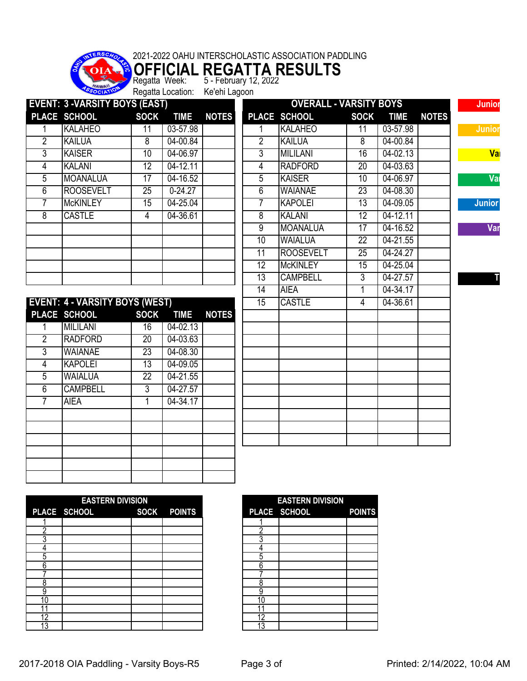

**OFFICIAL REGATTA RESULTS** Regatta Week: 5 - February 12, 2022

Regatta Location: Ke'ehi Lagoon

| PLACE SCHOOL<br><b>SOCK</b><br><b>TIME</b><br><b>NOTES</b><br>PLACE SCHOOL<br><b>SOCK</b><br><b>TIME</b><br><b>NOTES</b><br>03-57.98<br>03-57.98<br><b>KALAHEO</b><br><b>KALAHEO</b><br>11<br>$\overline{11}$<br>1<br><b>KAILUA</b><br>$\overline{8}$<br>04-00.84<br>$\overline{2}$<br><b>KAILUA</b><br>04-00.84<br>8<br>$\overline{3}$<br>04-06.97<br>04-02.13<br><b>KAISER</b><br>10<br><b>MILILANI</b><br>16<br>$04-12.11$<br><b>RADFORD</b><br>04-03.63<br><b>KALANI</b><br>12<br>4<br>20<br>$\overline{5}$<br><b>MOANALUA</b><br>04-16.52<br><b>KAISER</b><br>04-06.97<br>$\overline{17}$<br>$\overline{10}$<br><b>ROOSEVELT</b><br>$0 - 24.27$<br>6<br><b>WAIANAE</b><br>04-08.30<br>25<br>23<br>04-25.04<br>$\overline{7}$<br><b>KAPOLEI</b><br>$\overline{13}$<br>04-09.05<br><b>McKINLEY</b><br>15<br>04-12.11<br><b>CASTLE</b><br>04-36.61<br>$\overline{8}$<br><b>KALANI</b><br>12<br>$\overline{4}$<br>$\overline{9}$<br><b>MOANALUA</b><br>$\overline{17}$<br>04-16.52<br>10<br><b>WAIALUA</b><br>$\overline{22}$<br>04-21.55<br><b>ROOSEVELT</b><br>04-24.27<br>11<br>25<br>12<br><b>McKINLEY</b><br>04-25.04<br>$\overline{15}$<br>13<br><b>CAMPBELL</b><br>3<br>04-27.57<br>04-34.17<br>14<br><b>AIEA</b><br>1<br><b>EVENT: 4 - VARSITY BOYS (WEST)</b><br>15<br><b>CASTLE</b><br>04-36.61<br>$\overline{4}$<br>PLACE SCHOOL<br><b>SOCK</b><br><b>NOTES</b><br><b>TIME</b><br><b>MILILANI</b><br>$04 - 02.13$<br>16<br>$04 - 03.63$<br><b>RADFORD</b><br>20 |
|-----------------------------------------------------------------------------------------------------------------------------------------------------------------------------------------------------------------------------------------------------------------------------------------------------------------------------------------------------------------------------------------------------------------------------------------------------------------------------------------------------------------------------------------------------------------------------------------------------------------------------------------------------------------------------------------------------------------------------------------------------------------------------------------------------------------------------------------------------------------------------------------------------------------------------------------------------------------------------------------------------------------------------------------------------------------------------------------------------------------------------------------------------------------------------------------------------------------------------------------------------------------------------------------------------------------------------------------------------------------------------------------------------------------------------------------------------------------------------|
|                                                                                                                                                                                                                                                                                                                                                                                                                                                                                                                                                                                                                                                                                                                                                                                                                                                                                                                                                                                                                                                                                                                                                                                                                                                                                                                                                                                                                                                                             |
|                                                                                                                                                                                                                                                                                                                                                                                                                                                                                                                                                                                                                                                                                                                                                                                                                                                                                                                                                                                                                                                                                                                                                                                                                                                                                                                                                                                                                                                                             |
|                                                                                                                                                                                                                                                                                                                                                                                                                                                                                                                                                                                                                                                                                                                                                                                                                                                                                                                                                                                                                                                                                                                                                                                                                                                                                                                                                                                                                                                                             |
|                                                                                                                                                                                                                                                                                                                                                                                                                                                                                                                                                                                                                                                                                                                                                                                                                                                                                                                                                                                                                                                                                                                                                                                                                                                                                                                                                                                                                                                                             |
|                                                                                                                                                                                                                                                                                                                                                                                                                                                                                                                                                                                                                                                                                                                                                                                                                                                                                                                                                                                                                                                                                                                                                                                                                                                                                                                                                                                                                                                                             |
|                                                                                                                                                                                                                                                                                                                                                                                                                                                                                                                                                                                                                                                                                                                                                                                                                                                                                                                                                                                                                                                                                                                                                                                                                                                                                                                                                                                                                                                                             |
|                                                                                                                                                                                                                                                                                                                                                                                                                                                                                                                                                                                                                                                                                                                                                                                                                                                                                                                                                                                                                                                                                                                                                                                                                                                                                                                                                                                                                                                                             |
|                                                                                                                                                                                                                                                                                                                                                                                                                                                                                                                                                                                                                                                                                                                                                                                                                                                                                                                                                                                                                                                                                                                                                                                                                                                                                                                                                                                                                                                                             |
|                                                                                                                                                                                                                                                                                                                                                                                                                                                                                                                                                                                                                                                                                                                                                                                                                                                                                                                                                                                                                                                                                                                                                                                                                                                                                                                                                                                                                                                                             |
|                                                                                                                                                                                                                                                                                                                                                                                                                                                                                                                                                                                                                                                                                                                                                                                                                                                                                                                                                                                                                                                                                                                                                                                                                                                                                                                                                                                                                                                                             |
|                                                                                                                                                                                                                                                                                                                                                                                                                                                                                                                                                                                                                                                                                                                                                                                                                                                                                                                                                                                                                                                                                                                                                                                                                                                                                                                                                                                                                                                                             |
|                                                                                                                                                                                                                                                                                                                                                                                                                                                                                                                                                                                                                                                                                                                                                                                                                                                                                                                                                                                                                                                                                                                                                                                                                                                                                                                                                                                                                                                                             |
|                                                                                                                                                                                                                                                                                                                                                                                                                                                                                                                                                                                                                                                                                                                                                                                                                                                                                                                                                                                                                                                                                                                                                                                                                                                                                                                                                                                                                                                                             |
|                                                                                                                                                                                                                                                                                                                                                                                                                                                                                                                                                                                                                                                                                                                                                                                                                                                                                                                                                                                                                                                                                                                                                                                                                                                                                                                                                                                                                                                                             |
|                                                                                                                                                                                                                                                                                                                                                                                                                                                                                                                                                                                                                                                                                                                                                                                                                                                                                                                                                                                                                                                                                                                                                                                                                                                                                                                                                                                                                                                                             |
|                                                                                                                                                                                                                                                                                                                                                                                                                                                                                                                                                                                                                                                                                                                                                                                                                                                                                                                                                                                                                                                                                                                                                                                                                                                                                                                                                                                                                                                                             |
|                                                                                                                                                                                                                                                                                                                                                                                                                                                                                                                                                                                                                                                                                                                                                                                                                                                                                                                                                                                                                                                                                                                                                                                                                                                                                                                                                                                                                                                                             |
|                                                                                                                                                                                                                                                                                                                                                                                                                                                                                                                                                                                                                                                                                                                                                                                                                                                                                                                                                                                                                                                                                                                                                                                                                                                                                                                                                                                                                                                                             |
|                                                                                                                                                                                                                                                                                                                                                                                                                                                                                                                                                                                                                                                                                                                                                                                                                                                                                                                                                                                                                                                                                                                                                                                                                                                                                                                                                                                                                                                                             |
| 04-08.30<br><b>WAIANAE</b><br>$\overline{23}$                                                                                                                                                                                                                                                                                                                                                                                                                                                                                                                                                                                                                                                                                                                                                                                                                                                                                                                                                                                                                                                                                                                                                                                                                                                                                                                                                                                                                               |
| <b>KAPOLEI</b><br>04-09.05<br>$\overline{13}$                                                                                                                                                                                                                                                                                                                                                                                                                                                                                                                                                                                                                                                                                                                                                                                                                                                                                                                                                                                                                                                                                                                                                                                                                                                                                                                                                                                                                               |
| <b>WAIALUA</b><br>$\overline{22}$<br>$04 - 21.55$                                                                                                                                                                                                                                                                                                                                                                                                                                                                                                                                                                                                                                                                                                                                                                                                                                                                                                                                                                                                                                                                                                                                                                                                                                                                                                                                                                                                                           |
| $\overline{3}$<br><b>CAMPBELL</b><br>04-27.57                                                                                                                                                                                                                                                                                                                                                                                                                                                                                                                                                                                                                                                                                                                                                                                                                                                                                                                                                                                                                                                                                                                                                                                                                                                                                                                                                                                                                               |
| $04 - 34.17$<br><b>AIEA</b><br>1                                                                                                                                                                                                                                                                                                                                                                                                                                                                                                                                                                                                                                                                                                                                                                                                                                                                                                                                                                                                                                                                                                                                                                                                                                                                                                                                                                                                                                            |
|                                                                                                                                                                                                                                                                                                                                                                                                                                                                                                                                                                                                                                                                                                                                                                                                                                                                                                                                                                                                                                                                                                                                                                                                                                                                                                                                                                                                                                                                             |
|                                                                                                                                                                                                                                                                                                                                                                                                                                                                                                                                                                                                                                                                                                                                                                                                                                                                                                                                                                                                                                                                                                                                                                                                                                                                                                                                                                                                                                                                             |
|                                                                                                                                                                                                                                                                                                                                                                                                                                                                                                                                                                                                                                                                                                                                                                                                                                                                                                                                                                                                                                                                                                                                                                                                                                                                                                                                                                                                                                                                             |

| <b>EASTERN DIVISION</b> |                          |  |    | <b>EASTERN DIVISION</b> |               |
|-------------------------|--------------------------|--|----|-------------------------|---------------|
|                         | PLACE SCHOOL SOCK POINTS |  |    | PLACE SCHOOL            | <b>POINTS</b> |
|                         |                          |  |    |                         |               |
|                         |                          |  |    |                         |               |
|                         |                          |  |    |                         |               |
|                         |                          |  |    |                         |               |
|                         |                          |  |    |                         |               |
| հ                       |                          |  | n  |                         |               |
|                         |                          |  |    |                         |               |
|                         |                          |  |    |                         |               |
|                         |                          |  |    |                         |               |
| 10                      |                          |  | 10 |                         |               |
|                         |                          |  |    |                         |               |
| n                       |                          |  | 10 |                         |               |
|                         |                          |  |    |                         |               |

|     | <b>EASTERN DIVISION</b><br>PLACE SCHOOL | <b>POINTS</b> |
|-----|-----------------------------------------|---------------|
|     |                                         |               |
|     |                                         |               |
|     |                                         |               |
|     |                                         |               |
|     |                                         |               |
|     |                                         |               |
|     |                                         |               |
|     |                                         |               |
|     |                                         |               |
|     |                                         |               |
|     |                                         |               |
| 2   |                                         |               |
| ا ? |                                         |               |

2017-2018 OIA Paddling - Varsity Boys-R5 Page 3 of Printed: 2/14/2022, 10:04 AM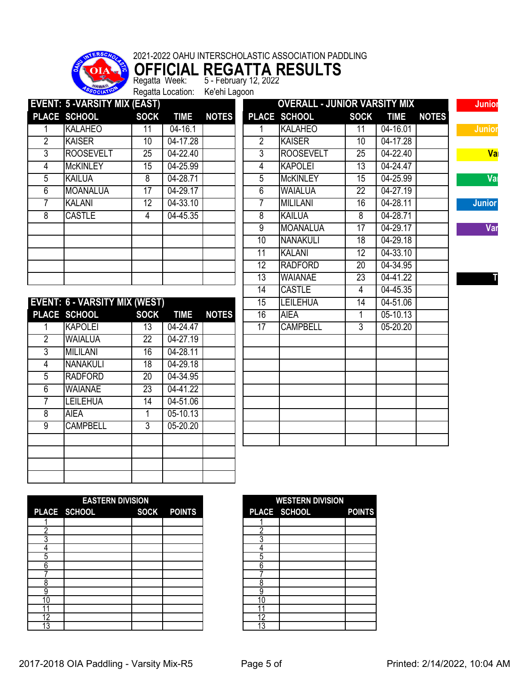

**OFFICIAL REGATTA RESULTS** Regatta Week: 5 - February 12, 2022 Regatta Week: 5 - February 12<br>Regatta Location: Ke'ehi Lagoon

| <b>EVENT: 5 - VARSITY MIX (EAST)</b><br><b>OVERALL - JUNIOR VARSITY MIX</b><br>PLACE SCHOOL<br><b>NOTES</b><br><b>TIME</b><br>PLACE SCHOOL<br><b>SOCK</b><br><b>SOCK</b><br><b>TIME</b><br><b>NOTES</b><br><b>KALAHEO</b><br>$04 - 16.1$<br><b>KALAHEO</b><br>04-16.01<br>11<br>11<br>1<br>$\overline{2}$<br>$\overline{2}$<br><b>KAISER</b><br><b>KAISER</b><br>$\overline{10}$<br>04-17.28<br>$\overline{10}$<br>04-17.28<br>$\overline{3}$<br><b>ROOSEVELT</b><br>$\overline{3}$<br><b>ROOSEVELT</b><br>04-22.40<br>$\overline{25}$<br>04-22.40<br>$\overline{25}$<br>04-25.99<br><b>KAPOLEI</b><br>04-24.47<br><b>McKINLEY</b><br>$\overline{15}$<br>$\overline{13}$<br>$\overline{4}$<br>$\overline{4}$<br>5<br>$\overline{5}$<br><b>KAILUA</b><br>$\overline{8}$<br>04-28.71<br><b>McKINLEY</b><br>15<br>04-25.99<br>04-27.19<br>$\overline{6}$<br><b>MOANALUA</b><br>17<br>04-29.17<br>$\overline{6}$<br><b>WAIALUA</b><br>$\overline{22}$<br>$\overline{7}$<br><b>KALANI</b><br>$\overline{12}$<br>$04 - 33.10$<br><b>MILILANI</b><br>04-28.11<br>7<br>16<br>$\overline{8}$<br><b>CASTLE</b><br>04-45.35<br>8<br><b>KAILUA</b><br>$\overline{8}$<br>04-28.71<br>4<br>$\overline{9}$<br><b>MOANALUA</b><br>17<br>04-29.17<br>10<br><b>NANAKULI</b><br>18<br>04-29.18<br><b>KALANI</b><br>$\overline{12}$<br>04-33.10<br>11<br>04-34.95<br>12<br><b>RADFORD</b><br>$\overline{20}$<br>13<br><b>WAIANAE</b><br>$\overline{23}$<br>04-41.22<br><b>CASTLE</b><br>04-45.35<br>$\overline{14}$<br>$\overline{4}$<br><b>EVENT: 6 - VARSITY MIX (WEST)</b><br><b>LEILEHUA</b><br>04-51.06<br>$\overline{15}$<br>$\overline{14}$<br>PLACE SCHOOL<br><b>NOTES</b><br><b>SOCK</b><br><b>TIME</b><br><b>AIEA</b><br>$05 - 10.13$<br>16<br>1<br><b>KAPOLEI</b><br>04-24.47<br>17<br><b>CAMPBELL</b><br>$\overline{3}$<br>13<br>$05 - 20.20$<br>1<br>$\overline{2}$<br><b>WAIALUA</b><br>$\overline{22}$<br>04-27.19<br><b>MILILANI</b><br>04-28.11<br>$\overline{3}$<br>16<br><b>NANAKULI</b><br>04-29.18<br>$\overline{4}$<br>$\overline{18}$<br>04-34.95<br>5<br><b>RADFORD</b><br>$\overline{20}$<br>$\overline{23}$<br>04-41.22<br><b>WAIANAE</b><br>$6\overline{6}$<br><b>LEILEHUA</b><br>04-51.06<br>$\overline{7}$<br>14<br>05-10.13<br>$\overline{8}$<br><b>AIEA</b><br>$\overline{1}$<br>$\overline{9}$<br><b>CAMPBELL</b><br>$\overline{3}$<br>$05 - 20.20$ |
|-----------------------------------------------------------------------------------------------------------------------------------------------------------------------------------------------------------------------------------------------------------------------------------------------------------------------------------------------------------------------------------------------------------------------------------------------------------------------------------------------------------------------------------------------------------------------------------------------------------------------------------------------------------------------------------------------------------------------------------------------------------------------------------------------------------------------------------------------------------------------------------------------------------------------------------------------------------------------------------------------------------------------------------------------------------------------------------------------------------------------------------------------------------------------------------------------------------------------------------------------------------------------------------------------------------------------------------------------------------------------------------------------------------------------------------------------------------------------------------------------------------------------------------------------------------------------------------------------------------------------------------------------------------------------------------------------------------------------------------------------------------------------------------------------------------------------------------------------------------------------------------------------------------------------------------------------------------------------------------------------------------------------------------------------------------------------------------------------------------------------------------------------------------------------------------------------------------------------------------------------------------------------------------------------------------------------------------------------------------------|
|                                                                                                                                                                                                                                                                                                                                                                                                                                                                                                                                                                                                                                                                                                                                                                                                                                                                                                                                                                                                                                                                                                                                                                                                                                                                                                                                                                                                                                                                                                                                                                                                                                                                                                                                                                                                                                                                                                                                                                                                                                                                                                                                                                                                                                                                                                                                                                 |
|                                                                                                                                                                                                                                                                                                                                                                                                                                                                                                                                                                                                                                                                                                                                                                                                                                                                                                                                                                                                                                                                                                                                                                                                                                                                                                                                                                                                                                                                                                                                                                                                                                                                                                                                                                                                                                                                                                                                                                                                                                                                                                                                                                                                                                                                                                                                                                 |
|                                                                                                                                                                                                                                                                                                                                                                                                                                                                                                                                                                                                                                                                                                                                                                                                                                                                                                                                                                                                                                                                                                                                                                                                                                                                                                                                                                                                                                                                                                                                                                                                                                                                                                                                                                                                                                                                                                                                                                                                                                                                                                                                                                                                                                                                                                                                                                 |
|                                                                                                                                                                                                                                                                                                                                                                                                                                                                                                                                                                                                                                                                                                                                                                                                                                                                                                                                                                                                                                                                                                                                                                                                                                                                                                                                                                                                                                                                                                                                                                                                                                                                                                                                                                                                                                                                                                                                                                                                                                                                                                                                                                                                                                                                                                                                                                 |
|                                                                                                                                                                                                                                                                                                                                                                                                                                                                                                                                                                                                                                                                                                                                                                                                                                                                                                                                                                                                                                                                                                                                                                                                                                                                                                                                                                                                                                                                                                                                                                                                                                                                                                                                                                                                                                                                                                                                                                                                                                                                                                                                                                                                                                                                                                                                                                 |
|                                                                                                                                                                                                                                                                                                                                                                                                                                                                                                                                                                                                                                                                                                                                                                                                                                                                                                                                                                                                                                                                                                                                                                                                                                                                                                                                                                                                                                                                                                                                                                                                                                                                                                                                                                                                                                                                                                                                                                                                                                                                                                                                                                                                                                                                                                                                                                 |
|                                                                                                                                                                                                                                                                                                                                                                                                                                                                                                                                                                                                                                                                                                                                                                                                                                                                                                                                                                                                                                                                                                                                                                                                                                                                                                                                                                                                                                                                                                                                                                                                                                                                                                                                                                                                                                                                                                                                                                                                                                                                                                                                                                                                                                                                                                                                                                 |
|                                                                                                                                                                                                                                                                                                                                                                                                                                                                                                                                                                                                                                                                                                                                                                                                                                                                                                                                                                                                                                                                                                                                                                                                                                                                                                                                                                                                                                                                                                                                                                                                                                                                                                                                                                                                                                                                                                                                                                                                                                                                                                                                                                                                                                                                                                                                                                 |
|                                                                                                                                                                                                                                                                                                                                                                                                                                                                                                                                                                                                                                                                                                                                                                                                                                                                                                                                                                                                                                                                                                                                                                                                                                                                                                                                                                                                                                                                                                                                                                                                                                                                                                                                                                                                                                                                                                                                                                                                                                                                                                                                                                                                                                                                                                                                                                 |
|                                                                                                                                                                                                                                                                                                                                                                                                                                                                                                                                                                                                                                                                                                                                                                                                                                                                                                                                                                                                                                                                                                                                                                                                                                                                                                                                                                                                                                                                                                                                                                                                                                                                                                                                                                                                                                                                                                                                                                                                                                                                                                                                                                                                                                                                                                                                                                 |
|                                                                                                                                                                                                                                                                                                                                                                                                                                                                                                                                                                                                                                                                                                                                                                                                                                                                                                                                                                                                                                                                                                                                                                                                                                                                                                                                                                                                                                                                                                                                                                                                                                                                                                                                                                                                                                                                                                                                                                                                                                                                                                                                                                                                                                                                                                                                                                 |
|                                                                                                                                                                                                                                                                                                                                                                                                                                                                                                                                                                                                                                                                                                                                                                                                                                                                                                                                                                                                                                                                                                                                                                                                                                                                                                                                                                                                                                                                                                                                                                                                                                                                                                                                                                                                                                                                                                                                                                                                                                                                                                                                                                                                                                                                                                                                                                 |
|                                                                                                                                                                                                                                                                                                                                                                                                                                                                                                                                                                                                                                                                                                                                                                                                                                                                                                                                                                                                                                                                                                                                                                                                                                                                                                                                                                                                                                                                                                                                                                                                                                                                                                                                                                                                                                                                                                                                                                                                                                                                                                                                                                                                                                                                                                                                                                 |
|                                                                                                                                                                                                                                                                                                                                                                                                                                                                                                                                                                                                                                                                                                                                                                                                                                                                                                                                                                                                                                                                                                                                                                                                                                                                                                                                                                                                                                                                                                                                                                                                                                                                                                                                                                                                                                                                                                                                                                                                                                                                                                                                                                                                                                                                                                                                                                 |
|                                                                                                                                                                                                                                                                                                                                                                                                                                                                                                                                                                                                                                                                                                                                                                                                                                                                                                                                                                                                                                                                                                                                                                                                                                                                                                                                                                                                                                                                                                                                                                                                                                                                                                                                                                                                                                                                                                                                                                                                                                                                                                                                                                                                                                                                                                                                                                 |
|                                                                                                                                                                                                                                                                                                                                                                                                                                                                                                                                                                                                                                                                                                                                                                                                                                                                                                                                                                                                                                                                                                                                                                                                                                                                                                                                                                                                                                                                                                                                                                                                                                                                                                                                                                                                                                                                                                                                                                                                                                                                                                                                                                                                                                                                                                                                                                 |
|                                                                                                                                                                                                                                                                                                                                                                                                                                                                                                                                                                                                                                                                                                                                                                                                                                                                                                                                                                                                                                                                                                                                                                                                                                                                                                                                                                                                                                                                                                                                                                                                                                                                                                                                                                                                                                                                                                                                                                                                                                                                                                                                                                                                                                                                                                                                                                 |
|                                                                                                                                                                                                                                                                                                                                                                                                                                                                                                                                                                                                                                                                                                                                                                                                                                                                                                                                                                                                                                                                                                                                                                                                                                                                                                                                                                                                                                                                                                                                                                                                                                                                                                                                                                                                                                                                                                                                                                                                                                                                                                                                                                                                                                                                                                                                                                 |
|                                                                                                                                                                                                                                                                                                                                                                                                                                                                                                                                                                                                                                                                                                                                                                                                                                                                                                                                                                                                                                                                                                                                                                                                                                                                                                                                                                                                                                                                                                                                                                                                                                                                                                                                                                                                                                                                                                                                                                                                                                                                                                                                                                                                                                                                                                                                                                 |
|                                                                                                                                                                                                                                                                                                                                                                                                                                                                                                                                                                                                                                                                                                                                                                                                                                                                                                                                                                                                                                                                                                                                                                                                                                                                                                                                                                                                                                                                                                                                                                                                                                                                                                                                                                                                                                                                                                                                                                                                                                                                                                                                                                                                                                                                                                                                                                 |
|                                                                                                                                                                                                                                                                                                                                                                                                                                                                                                                                                                                                                                                                                                                                                                                                                                                                                                                                                                                                                                                                                                                                                                                                                                                                                                                                                                                                                                                                                                                                                                                                                                                                                                                                                                                                                                                                                                                                                                                                                                                                                                                                                                                                                                                                                                                                                                 |
|                                                                                                                                                                                                                                                                                                                                                                                                                                                                                                                                                                                                                                                                                                                                                                                                                                                                                                                                                                                                                                                                                                                                                                                                                                                                                                                                                                                                                                                                                                                                                                                                                                                                                                                                                                                                                                                                                                                                                                                                                                                                                                                                                                                                                                                                                                                                                                 |
|                                                                                                                                                                                                                                                                                                                                                                                                                                                                                                                                                                                                                                                                                                                                                                                                                                                                                                                                                                                                                                                                                                                                                                                                                                                                                                                                                                                                                                                                                                                                                                                                                                                                                                                                                                                                                                                                                                                                                                                                                                                                                                                                                                                                                                                                                                                                                                 |
|                                                                                                                                                                                                                                                                                                                                                                                                                                                                                                                                                                                                                                                                                                                                                                                                                                                                                                                                                                                                                                                                                                                                                                                                                                                                                                                                                                                                                                                                                                                                                                                                                                                                                                                                                                                                                                                                                                                                                                                                                                                                                                                                                                                                                                                                                                                                                                 |
|                                                                                                                                                                                                                                                                                                                                                                                                                                                                                                                                                                                                                                                                                                                                                                                                                                                                                                                                                                                                                                                                                                                                                                                                                                                                                                                                                                                                                                                                                                                                                                                                                                                                                                                                                                                                                                                                                                                                                                                                                                                                                                                                                                                                                                                                                                                                                                 |
|                                                                                                                                                                                                                                                                                                                                                                                                                                                                                                                                                                                                                                                                                                                                                                                                                                                                                                                                                                                                                                                                                                                                                                                                                                                                                                                                                                                                                                                                                                                                                                                                                                                                                                                                                                                                                                                                                                                                                                                                                                                                                                                                                                                                                                                                                                                                                                 |
|                                                                                                                                                                                                                                                                                                                                                                                                                                                                                                                                                                                                                                                                                                                                                                                                                                                                                                                                                                                                                                                                                                                                                                                                                                                                                                                                                                                                                                                                                                                                                                                                                                                                                                                                                                                                                                                                                                                                                                                                                                                                                                                                                                                                                                                                                                                                                                 |
|                                                                                                                                                                                                                                                                                                                                                                                                                                                                                                                                                                                                                                                                                                                                                                                                                                                                                                                                                                                                                                                                                                                                                                                                                                                                                                                                                                                                                                                                                                                                                                                                                                                                                                                                                                                                                                                                                                                                                                                                                                                                                                                                                                                                                                                                                                                                                                 |
|                                                                                                                                                                                                                                                                                                                                                                                                                                                                                                                                                                                                                                                                                                                                                                                                                                                                                                                                                                                                                                                                                                                                                                                                                                                                                                                                                                                                                                                                                                                                                                                                                                                                                                                                                                                                                                                                                                                                                                                                                                                                                                                                                                                                                                                                                                                                                                 |
|                                                                                                                                                                                                                                                                                                                                                                                                                                                                                                                                                                                                                                                                                                                                                                                                                                                                                                                                                                                                                                                                                                                                                                                                                                                                                                                                                                                                                                                                                                                                                                                                                                                                                                                                                                                                                                                                                                                                                                                                                                                                                                                                                                                                                                                                                                                                                                 |
|                                                                                                                                                                                                                                                                                                                                                                                                                                                                                                                                                                                                                                                                                                                                                                                                                                                                                                                                                                                                                                                                                                                                                                                                                                                                                                                                                                                                                                                                                                                                                                                                                                                                                                                                                                                                                                                                                                                                                                                                                                                                                                                                                                                                                                                                                                                                                                 |

|    | <b>EASTERN DIVISION</b>  |  |    | <b>WESTERN DIVISION</b> |               |
|----|--------------------------|--|----|-------------------------|---------------|
|    | PLACE SCHOOL SOCK POINTS |  |    | PLACE SCHOOL            | <b>POINTS</b> |
|    |                          |  |    |                         |               |
|    |                          |  |    |                         |               |
|    |                          |  |    |                         |               |
|    |                          |  |    |                         |               |
|    |                          |  |    |                         |               |
|    |                          |  | n  |                         |               |
|    |                          |  |    |                         |               |
|    |                          |  |    |                         |               |
|    |                          |  |    |                         |               |
| 10 |                          |  | 10 |                         |               |
|    |                          |  |    |                         |               |
| 12 |                          |  | 12 |                         |               |
| 3  |                          |  | 13 |                         |               |

| <b>WESTERN DIVISION</b><br>PLACE SCHOOL<br><b>POINTS</b> |  |  |  |  |  |  |  |
|----------------------------------------------------------|--|--|--|--|--|--|--|
|                                                          |  |  |  |  |  |  |  |
|                                                          |  |  |  |  |  |  |  |
|                                                          |  |  |  |  |  |  |  |
|                                                          |  |  |  |  |  |  |  |
| 5<br>հ                                                   |  |  |  |  |  |  |  |
|                                                          |  |  |  |  |  |  |  |
| ጸ                                                        |  |  |  |  |  |  |  |
|                                                          |  |  |  |  |  |  |  |
| r                                                        |  |  |  |  |  |  |  |
|                                                          |  |  |  |  |  |  |  |
|                                                          |  |  |  |  |  |  |  |

2017-2018 OIA Paddling - Varsity Mix-R5 Page 5 of Printed: 2/14/2022, 10:04 AM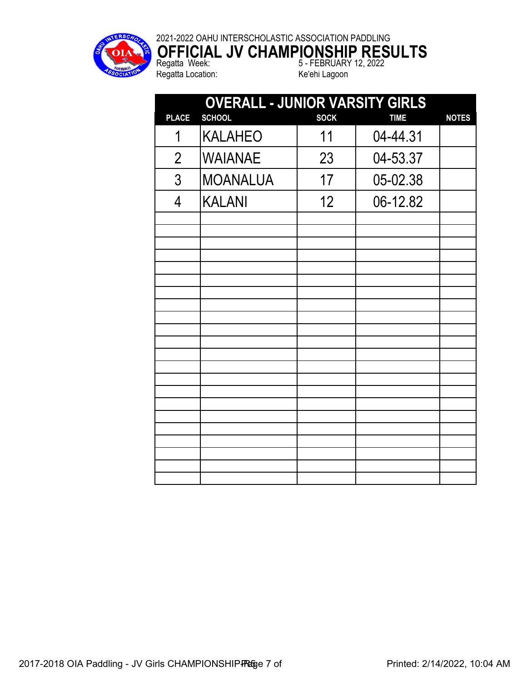

**OFFICIAL JV CHAMPIONSHIP RESULTS** Regatta Week: 5 - FEBRUARY 12, 2022 Regatta Location: Ke'ehi Lagoon

| <b>OVERALL - JUNIOR VARSITY GIRLS</b> |                 |             |             |              |  |  |
|---------------------------------------|-----------------|-------------|-------------|--------------|--|--|
| <b>PLACE</b>                          | <b>SCHOOL</b>   | <b>SOCK</b> | <b>TIME</b> | <b>NOTES</b> |  |  |
| 1                                     | <b>KALAHEO</b>  | 11          | 04-44.31    |              |  |  |
| $\overline{2}$                        | <b>WAIANAE</b>  | 23          | 04-53.37    |              |  |  |
| 3                                     | <b>MOANALUA</b> | 17          | 05-02.38    |              |  |  |
| 4                                     | <b>KALANI</b>   | 12          | 06-12.82    |              |  |  |
|                                       |                 |             |             |              |  |  |
|                                       |                 |             |             |              |  |  |
|                                       |                 |             |             |              |  |  |
|                                       |                 |             |             |              |  |  |
|                                       |                 |             |             |              |  |  |
|                                       |                 |             |             |              |  |  |
|                                       |                 |             |             |              |  |  |
|                                       |                 |             |             |              |  |  |
|                                       |                 |             |             |              |  |  |
|                                       |                 |             |             |              |  |  |
|                                       |                 |             |             |              |  |  |
|                                       |                 |             |             |              |  |  |
|                                       |                 |             |             |              |  |  |
|                                       |                 |             |             |              |  |  |
|                                       |                 |             |             |              |  |  |
|                                       |                 |             |             |              |  |  |
|                                       |                 |             |             |              |  |  |
|                                       |                 |             |             |              |  |  |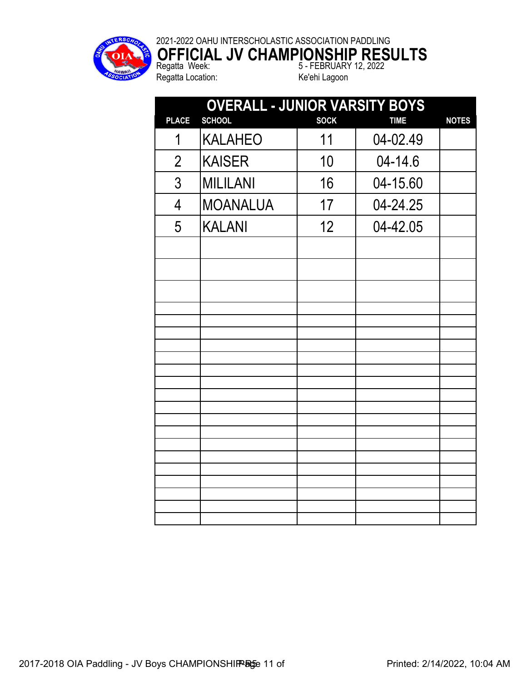

## 2021-2022 OAHU INTERSCHOLASTIC ASSOCIATION PADDLING **OFFICIAL JV CHAMPIONSHIP RESULTS**

Regatta Location: Ke'ehi Lagoon

Regatta Week: 5 - FEBRUARY 12, 2022

|                | <b>OVERALL - JUNIOR VARSITY BOYS</b> |             |             |              |  |  |  |  |
|----------------|--------------------------------------|-------------|-------------|--------------|--|--|--|--|
| <b>PLACE</b>   | <b>SCHOOL</b>                        | <b>SOCK</b> | <b>TIME</b> | <b>NOTES</b> |  |  |  |  |
| 1              | <b>KALAHEO</b>                       | 11          | 04-02.49    |              |  |  |  |  |
| $\overline{2}$ | <b>KAISER</b>                        | 10          | 04-14.6     |              |  |  |  |  |
| 3              | <b>MILILANI</b>                      | 16          | 04-15.60    |              |  |  |  |  |
| $\overline{4}$ | <b>MOANALUA</b>                      | 17          | 04-24.25    |              |  |  |  |  |
| 5              | <b>KALANI</b>                        | 12          | 04-42.05    |              |  |  |  |  |
|                |                                      |             |             |              |  |  |  |  |
|                |                                      |             |             |              |  |  |  |  |
|                |                                      |             |             |              |  |  |  |  |
|                |                                      |             |             |              |  |  |  |  |
|                |                                      |             |             |              |  |  |  |  |
|                |                                      |             |             |              |  |  |  |  |
|                |                                      |             |             |              |  |  |  |  |
|                |                                      |             |             |              |  |  |  |  |
|                |                                      |             |             |              |  |  |  |  |
|                |                                      |             |             |              |  |  |  |  |
|                |                                      |             |             |              |  |  |  |  |
|                |                                      |             |             |              |  |  |  |  |
|                |                                      |             |             |              |  |  |  |  |
|                |                                      |             |             |              |  |  |  |  |
|                |                                      |             |             |              |  |  |  |  |
|                |                                      |             |             |              |  |  |  |  |
|                |                                      |             |             |              |  |  |  |  |
|                |                                      |             |             |              |  |  |  |  |
|                |                                      |             |             |              |  |  |  |  |